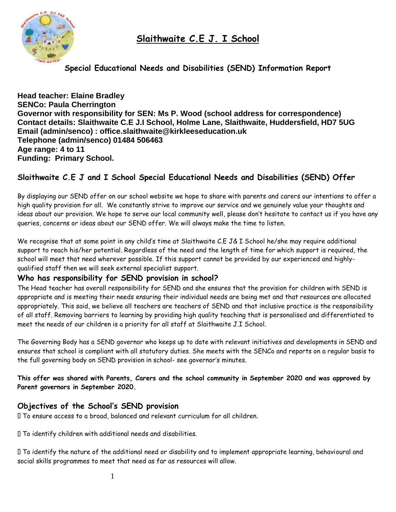**Slaithwaite C.E J. I School**



**Special Educational Needs and Disabilities (SEND) Information Report**

**Head teacher: Elaine Bradley SENCo: Paula Cherrington Governor with responsibility for SEN: Ms P. Wood (school address for correspondence) Contact details: Slaithwaite C.E J.I School, Holme Lane, Slaithwaite, Huddersfield, HD7 5UG Email (admin/senco) : office.slaithwaite@kirkleeseducation.uk Telephone (admin/senco) 01484 506463 Age range: 4 to 11 Funding: Primary School.**

# **Slaithwaite C.E J and I School Special Educational Needs and Disabilities (SEND) Offer**

By displaying our SEND offer on our school website we hope to share with parents and carers our intentions to offer a high quality provision for all. We constantly strive to improve our service and we genuinely value your thoughts and ideas about our provision. We hope to serve our local community well, please don't hesitate to contact us if you have any queries, concerns or ideas about our SEND offer. We will always make the time to listen.

We recognise that at some point in any child's time at Slaithwaite C.E J& I School he/she may require additional support to reach his/her potential. Regardless of the need and the length of time for which support is required, the school will meet that need wherever possible. If this support cannot be provided by our experienced and highlyqualified staff then we will seek external specialist support.

## **Who has responsibility for SEND provision in school?**

The Head teacher has overall responsibility for SEND and she ensures that the provision for children with SEND is appropriate and is meeting their needs ensuring their individual needs are being met and that resources are allocated appropriately. This said, we believe all teachers are teachers of SEND and that inclusive practice is the responsibility of all staff. Removing barriers to learning by providing high quality teaching that is personalised and differentiated to meet the needs of our children is a priority for all staff at Slaithwaite J.I School.

The Governing Body has a SEND governor who keeps up to date with relevant initiatives and developments in SEND and ensures that school is compliant with all statutory duties. She meets with the SENCo and reports on a regular basis to the full governing body on SEND provision in school- see governor's minutes.

**This offer was shared with Parents, Carers and the school community in September 2020 and was approved by Parent governors in September 2020.**

## **Objectives of the School's SEND provision**

To ensure access to a broad, balanced and relevant curriculum for all children.

To identify children with additional needs and disabilities.

To identify the nature of the additional need or disability and to implement appropriate learning, behavioural and social skills programmes to meet that need as far as resources will allow.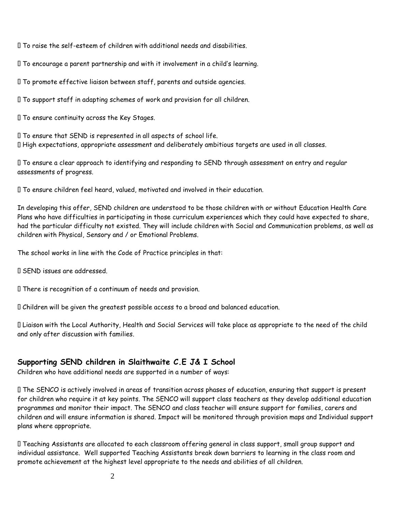To raise the self-esteem of children with additional needs and disabilities.

To encourage a parent partnership and with it involvement in a child's learning.

To promote effective liaison between staff, parents and outside agencies.

To support staff in adapting schemes of work and provision for all children.

To ensure continuity across the Key Stages.

To ensure that SEND is represented in all aspects of school life. High expectations, appropriate assessment and deliberately ambitious targets are used in all classes.

To ensure a clear approach to identifying and responding to SEND through assessment on entry and regular assessments of progress.

To ensure children feel heard, valued, motivated and involved in their education.

In developing this offer, SEND children are understood to be those children with or without Education Health Care Plans who have difficulties in participating in those curriculum experiences which they could have expected to share, had the particular difficulty not existed. They will include children with Social and Communication problems, as well as children with Physical, Sensory and / or Emotional Problems.

The school works in line with the Code of Practice principles in that:

SEND issues are addressed.

There is recognition of a continuum of needs and provision.

Children will be given the greatest possible access to a broad and balanced education.

Liaison with the Local Authority, Health and Social Services will take place as appropriate to the need of the child and only after discussion with families.

## **Supporting SEND children in Slaithwaite C.E J& I School**

Children who have additional needs are supported in a number of ways:

The SENCO is actively involved in areas of transition across phases of education, ensuring that support is present for children who require it at key points. The SENCO will support class teachers as they develop additional education programmes and monitor their impact. The SENCO and class teacher will ensure support for families, carers and children and will ensure information is shared. Impact will be monitored through provision maps and Individual support plans where appropriate.

Teaching Assistants are allocated to each classroom offering general in class support, small group support and individual assistance. Well supported Teaching Assistants break down barriers to learning in the class room and promote achievement at the highest level appropriate to the needs and abilities of all children.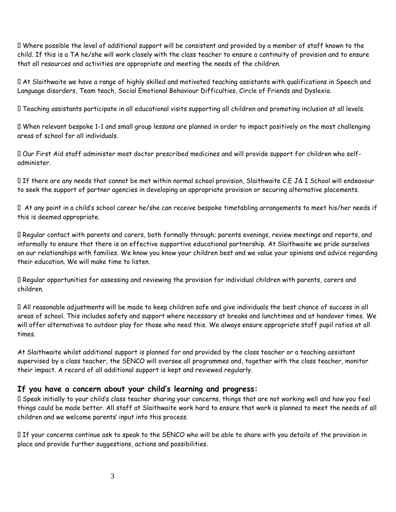Where possible the level of additional support will be consistent and provided by a member of staff known to the child. If this is a TA he/she will work closely with the class teacher to ensure a continuity of provision and to ensure that all resources and activities are appropriate and meeting the needs of the children.

At Slaithwaite we have a range of highly skilled and motivated teaching assistants with qualifications in Speech and Language disorders, Team teach, Social Emotional Behaviour Difficulties, Circle of Friends and Dyslexia.

Teaching assistants participate in all educational visits supporting all children and promoting inclusion at all levels.

When relevant bespoke 1-1 and small group lessons are planned in order to impact positively on the most challenging areas of school for all individuals.

Our First Aid staff administer most doctor prescribed medicines and will provide support for children who selfadminister.

If there are any needs that cannot be met within normal school provision, Slaithwaite C.E J& I School will endeavour to seek the support of partner agencies in developing an appropriate provision or securing alternative placements.

 At any point in a child's school career he/she can receive bespoke timetabling arrangements to meet his/her needs if this is deemed appropriate.

Regular contact with parents and carers, both formally through; parents evenings, review meetings and reports, and informally to ensure that there is an effective supportive educational partnership. At Slaithwaite we pride ourselves on our relationships with families. We know you know your children best and we value your opinions and advice regarding their education. We will make time to listen.

Regular opportunities for assessing and reviewing the provision for individual children with parents, carers and children.

All reasonable adjustments will be made to keep children safe and give individuals the best chance of success in all areas of school. This includes safety and support where necessary at breaks and lunchtimes and at handover times. We will offer alternatives to outdoor play for those who need this. We always ensure appropriate staff pupil ratios at all times.

At Slaithwaite whilst additional support is planned for and provided by the class teacher or a teaching assistant supervised by a class teacher, the SENCO will oversee all programmes and, together with the class teacher, monitor their impact. A record of all additional support is kept and reviewed regularly.

## **If you have a concern about your child's learning and progress:**

Speak initially to your child's class teacher sharing your concerns, things that are not working well and how you feel things could be made better. All staff at Slaithwaite work hard to ensure that work is planned to meet the needs of all children and we welcome parents' input into this process.

If your concerns continue ask to speak to the SENCO who will be able to share with you details of the provision in place and provide further suggestions, actions and possibilities.